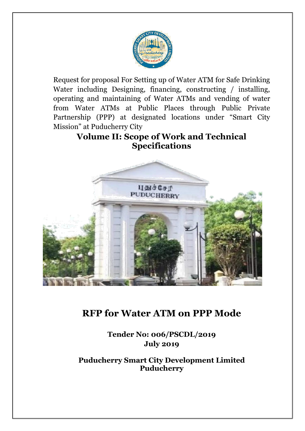

Request for proposal For Setting up of Water ATM for Safe Drinking Water including Designing, financing, constructing / installing, operating and maintaining of Water ATMs and vending of water from Water ATMs at Public Places through Public Private Partnership (PPP) at designated locations under "Smart City Mission" at Puducherry City

# **Volume II: Scope of Work and Technical Specifications**



# **RFP for Water ATM on PPP Mode**

**Tender No: 006/PSCDL/2019 July 2019**

**Puducherry Smart City Development Limited Puducherry**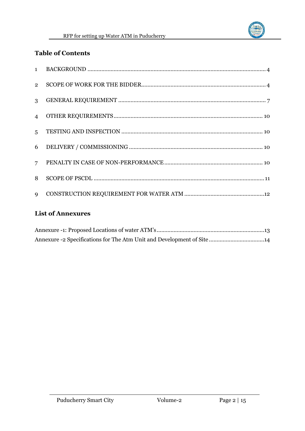

## **Table of Contents**

| $2^{\circ}$    |  |
|----------------|--|
| $\mathbf{3}$   |  |
| $\overline{4}$ |  |
| 5 <sup>1</sup> |  |
| 6              |  |
| $7^{\circ}$    |  |
| 8              |  |
| $\overline{9}$ |  |

# **List of Annexures**

| Annexure -2 Specifications for The Atm Unit and Development of Site 14 |  |
|------------------------------------------------------------------------|--|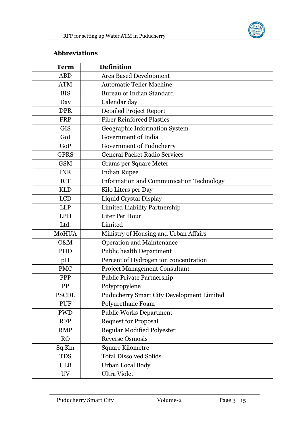

### **Abbreviations**

| <b>Term</b>  | <b>Definition</b>                               |
|--------------|-------------------------------------------------|
| <b>ABD</b>   | Area Based Development                          |
| <b>ATM</b>   | <b>Automatic Teller Machine</b>                 |
| <b>BIS</b>   | <b>Bureau of Indian Standard</b>                |
| Day          | Calendar day                                    |
| <b>DPR</b>   | <b>Detailed Project Report</b>                  |
| <b>FRP</b>   | <b>Fiber Reinforced Plastics</b>                |
| <b>GIS</b>   | Geographic Information System                   |
| GoI          | Government of India                             |
| GoP          | Government of Puducherry                        |
| <b>GPRS</b>  | <b>General Packet Radio Services</b>            |
| <b>GSM</b>   | <b>Grams per Square Meter</b>                   |
| <b>INR</b>   | <b>Indian Rupee</b>                             |
| <b>ICT</b>   | <b>Information and Communication Technology</b> |
| <b>KLD</b>   | Kilo Liters per Day                             |
| <b>LCD</b>   | Liquid Crystal Display                          |
| <b>LLP</b>   | Limited Liability Partnership                   |
| <b>LPH</b>   | Liter Per Hour                                  |
| Ltd.         | Limited                                         |
| MoHUA        | Ministry of Housing and Urban Affairs           |
| O&M          | <b>Operation and Maintenance</b>                |
| PHD          | <b>Public health Department</b>                 |
| pH           | Percent of Hydrogen ion concentration           |
| <b>PMC</b>   | Project Management Consultant                   |
| PPP          | <b>Public Private Partnership</b>               |
| PP           | Polypropylene                                   |
| <b>PSCDL</b> | Puducherry Smart City Development Limited       |
| <b>PUF</b>   | Polyurethane Foam                               |
| <b>PWD</b>   | <b>Public Works Department</b>                  |
| <b>RFP</b>   | <b>Request for Proposal</b>                     |
| <b>RMP</b>   | <b>Regular Modified Polyester</b>               |
| <b>RO</b>    | <b>Reverse Osmosis</b>                          |
| Sq.Km        | <b>Square Kilometre</b>                         |
| <b>TDS</b>   | <b>Total Dissolved Solids</b>                   |
| <b>ULB</b>   | Urban Local Body                                |
| UV           | <b>Ultra Violet</b>                             |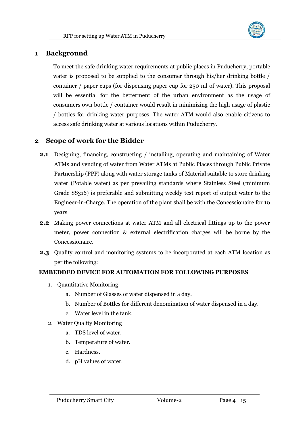

### <span id="page-3-0"></span>**1 Background**

To meet the safe drinking water requirements at public places in Puducherry, portable water is proposed to be supplied to the consumer through his/her drinking bottle / container / paper cups (for dispensing paper cup for 250 ml of water). This proposal will be essential for the betterment of the urban environment as the usage of consumers own bottle / container would result in minimizing the high usage of plastic / bottles for drinking water purposes. The water ATM would also enable citizens to access safe drinking water at various locations within Puducherry.

#### <span id="page-3-1"></span>**2 Scope of work for the Bidder**

- **2.1** Designing, financing, constructing / installing, operating and maintaining of Water ATMs and vending of water from Water ATMs at Public Places through Public Private Partnership (PPP) along with water storage tanks of Material suitable to store drinking water (Potable water) as per prevailing standards where Stainless Steel (minimum Grade SS316) is preferable and submitting weekly test report of output water to the Engineer-in-Charge. The operation of the plant shall be with the Concessionaire for 10 years
- **2.2** Making power connections at water ATM and all electrical fittings up to the power meter, power connection & external electrification charges will be borne by the Concessionaire.
- **2.3** Quality control and monitoring systems to be incorporated at each ATM location as per the following:

#### **EMBEDDED DEVICE FOR AUTOMATION FOR FOLLOWING PURPOSES**

- 1. Quantitative Monitoring
	- a. Number of Glasses of water dispensed in a day.
	- b. Number of Bottles for different denomination of water dispensed in a day.
	- c. Water level in the tank.
- 2. Water Quality Monitoring
	- a. TDS level of water.
	- b. Temperature of water.
	- c. Hardness.
	- d. pH values of water.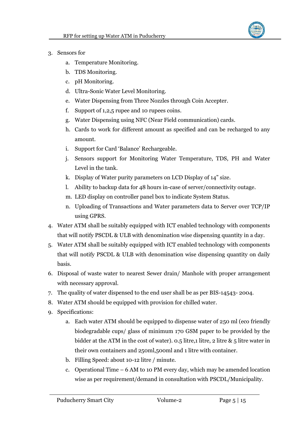

- 3. Sensors for
	- a. Temperature Monitoring.
	- b. TDS Monitoring.
	- c. pH Monitoring.
	- d. Ultra-Sonic Water Level Monitoring.
	- e. Water Dispensing from Three Nozzles through Coin Accepter.
	- f. Support of 1,2,5 rupee and 10 rupees coins.
	- g. Water Dispensing using NFC (Near Field communication) cards.
	- h. Cards to work for different amount as specified and can be recharged to any amount.
	- i. Support for Card 'Balance' Rechargeable.
	- j. Sensors support for Monitoring Water Temperature, TDS, PH and Water Level in the tank.
	- k. Display of Water purity parameters on LCD Display of 14" size.
	- l. Ability to backup data for 48 hours in-case of server/connectivity outage.
	- m. LED display on controller panel box to indicate System Status.
	- n. Uploading of Transactions and Water parameters data to Server over TCP/IP using GPRS.
- 4. Water ATM shall be suitably equipped with ICT enabled technology with components that will notify PSCDL & ULB with denomination wise dispensing quantity in a day.
- 5. Water ATM shall be suitably equipped with ICT enabled technology with components that will notify PSCDL & ULB with denomination wise dispensing quantity on daily basis.
- 6. Disposal of waste water to nearest Sewer drain/ Manhole with proper arrangement with necessary approval.
- 7. The quality of water dispensed to the end user shall be as per BIS-14543- 2004.
- 8. Water ATM should be equipped with provision for chilled water.
- 9. Specifications:
	- a. Each water ATM should be equipped to dispense water of 250 ml (eco friendly biodegradable cups/ glass of minimum 170 GSM paper to be provided by the bidder at the ATM in the cost of water). 0.5 litre,1 litre, 2 litre  $\&$  5 litre water in their own containers and 250ml,500ml and 1 litre with container.
	- b. Filling Speed: about 10-12 litre / minute.
	- c. Operational Time 6 AM to 10 PM every day, which may be amended location wise as per requirement/demand in consultation with PSCDL/Municipality.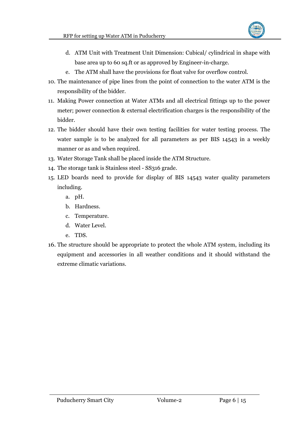

- d. ATM Unit with Treatment Unit Dimension: Cubical/ cylindrical in shape with base area up to 60 sq.ft or as approved by Engineer-in-charge.
- e. The ATM shall have the provisions for float valve for overflow control.
- 10. The maintenance of pipe lines from the point of connection to the water ATM is the responsibility of the bidder.
- 11. Making Power connection at Water ATMs and all electrical fittings up to the power meter; power connection & external electrification charges is the responsibility of the bidder.
- 12. The bidder should have their own testing facilities for water testing process. The water sample is to be analyzed for all parameters as per BIS 14543 in a weekly manner or as and when required.
- 13. Water Storage Tank shall be placed inside the ATM Structure.
- 14. The storage tank is Stainless steel SS316 grade.
- 15. LED boards need to provide for display of BIS 14543 water quality parameters including.
	- a. pH.
	- b. Hardness.
	- c. Temperature.
	- d. Water Level.
	- e. TDS.
- 16. The structure should be appropriate to protect the whole ATM system, including its equipment and accessories in all weather conditions and it should withstand the extreme climatic variations.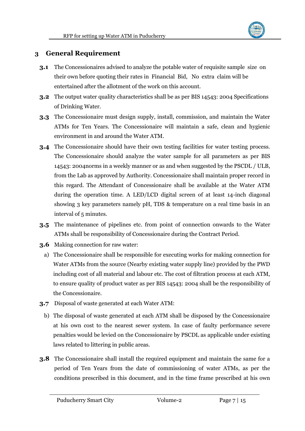

### <span id="page-6-0"></span>**3 General Requirement**

- **3.1** The Concessionaires advised to analyze the potable water of requisite sample size on their own before quoting their rates in Financial Bid, No extra claim will be entertained after the allotment of the work on this account.
- **3.2** The output water quality characteristics shall be as per BIS 14543: 2004 Specifications of Drinking Water.
- **3.3** The Concessionaire must design supply, install, commission, and maintain the Water ATMs for Ten Years. The Concessionaire will maintain a safe, clean and hygienic environment in and around the Water ATM.
- **3.4** The Concessionaire should have their own testing facilities for water testing process. The Concessionaire should analyze the water sample for all parameters as per BIS 14543: 2004norms in a weekly manner or as and when suggested by the PSCDL / ULB, from the Lab as approved by Authority. Concessionaire shall maintain proper record in this regard. The Attendant of Concessionaire shall be available at the Water ATM during the operation time. A LED/LCD digital screen of at least 14-inch diagonal showing 3 key parameters namely pH, TDS & temperature on a real time basis in an interval of 5 minutes.
- **3.5** The maintenance of pipelines etc. from point of connection onwards to the Water ATMs shall be responsibility of Concessionaire during the Contract Period.
- **3.6** Making connection for raw water:
	- a) The Concessionaire shall be responsible for executing works for making connection for Water ATMs from the source (Nearby existing water supply line) provided by the PWD including cost of all material and labour etc. The cost of filtration process at each ATM, to ensure quality of product water as per BIS 14543: 2004 shall be the responsibility of the Concessionaire.
- **3.7** Disposal of waste generated at each Water ATM:
	- b) The disposal of waste generated at each ATM shall be disposed by the Concessionaire at his own cost to the nearest sewer system. In case of faulty performance severe penalties would be levied on the Concessionaire by PSCDL as applicable under existing laws related to littering in public areas.
- **3.8** The Concessionaire shall install the required equipment and maintain the same for a period of Ten Years from the date of commissioning of water ATMs, as per the conditions prescribed in this document, and in the time frame prescribed at his own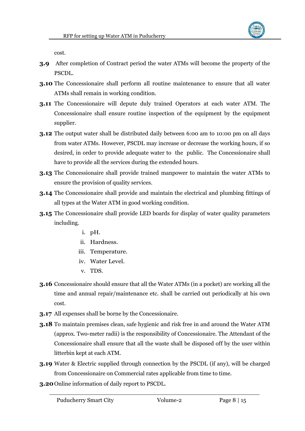

cost.

- **3.9** After completion of Contract period the water ATMs will become the property of the PSCDL.
- **3.10** The Concessionaire shall perform all routine maintenance to ensure that all water ATMs shall remain in working condition.
- **3.11** The Concessionaire will depute duly trained Operators at each water ATM. The Concessionaire shall ensure routine inspection of the equipment by the equipment supplier.
- **3.12** The output water shall be distributed daily between 6:00 am to 10:00 pm on all days from water ATMs. However, PSCDL may increase or decrease the working hours, if so desired, in order to provide adequate water to the public. The Concessionaire shall have to provide all the services during the extended hours.
- **3.13** The Concessionaire shall provide trained manpower to maintain the water ATMs to ensure the provision of quality services.
- **3.14** The Concessionaire shall provide and maintain the electrical and plumbing fittings of all types at the Water ATM in good working condition.
- **3.15** The Concessionaire shall provide LED boards for display of water quality parameters including.
	- i. pH.
	- ii. Hardness.
	- iii. Temperature.
	- iv. Water Level.
	- v. TDS.
- **3.16** Concessionaire should ensure that all the Water ATMs (in a pocket) are working all the time and annual repair/maintenance etc. shall be carried out periodically at his own cost.
- **3.17** All expenses shall be borne by the Concessionaire.
- **3.18** To maintain premises clean, safe hygienic and risk free in and around the Water ATM (approx. Two-meter radii) is the responsibility of Concessionaire. The Attendant of the Concessionaire shall ensure that all the waste shall be disposed off by the user within litterbin kept at each ATM.
- **3.19** Water & Electric supplied through connection by the PSCDL (if any), will be charged from Concessionaire on Commercial rates applicable from time to time.
- **3.20**Online information of daily report to PSCDL.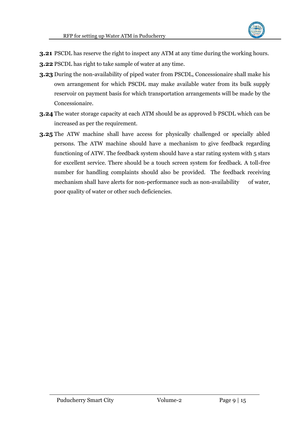

- **3.21** PSCDL has reserve the right to inspect any ATM at any time during the working hours.
- **3.22** PSCDL has right to take sample of water at any time.
- **3.23** During the non-availability of piped water from PSCDL, Concessionaire shall make his own arrangement for which PSCDL may make available water from its bulk supply reservoir on payment basis for which transportation arrangements will be made by the Concessionaire.
- **3.24** The water storage capacity at each ATM should be as approved b PSCDL which can be increased as per the requirement.
- **3.25** The ATW machine shall have access for physically challenged or specially abled persons. The ATW machine should have a mechanism to give feedback regarding functioning of ATW. The feedback system should have a star rating system with 5 stars for excellent service. There should be a touch screen system for feedback. A toll-free number for handling complaints should also be provided. The feedback receiving mechanism shall have alerts for non-performance such as non-availability of water, poor quality of water or other such deficiencies.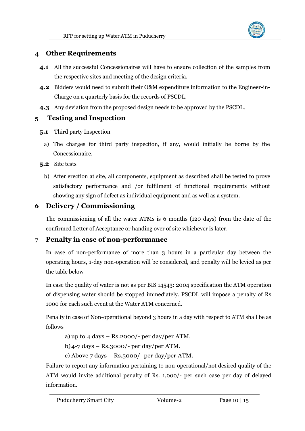

### <span id="page-9-0"></span>**4 Other Requirements**

- **4.1** All the successful Concessionaires will have to ensure collection of the samples from the respective sites and meeting of the design criteria.
- **4.2** Bidders would need to submit their O&M expenditure information to the Engineer-in-Charge on a quarterly basis for the records of PSCDL.
- **4.3** Any deviation from the proposed design needs to be approved by the PSCDL.

### <span id="page-9-1"></span>**5 Testing and Inspection**

- **5.1** Third party Inspection
	- a) The charges for third party inspection, if any, would initially be borne by the Concessionaire.

**5.2** Site tests

b) After erection at site, all components, equipment as described shall be tested to prove satisfactory performance and /or fulfilment of functional requirements without showing any sign of defect as individual equipment and as well as a system.

## <span id="page-9-2"></span>**6 Delivery / Commissioning**

The commissioning of all the water ATMs is 6 months (120 days) from the date of the confirmed Letter of Acceptance or handing over of site whichever is later.

### <span id="page-9-3"></span>**7 Penalty in case of non-performance**

In case of non-performance of more than 3 hours in a particular day between the operating hours, 1-day non-operation will be considered, and penalty will be levied as per the table below

In case the quality of water is not as per BIS 14543: 2004 specification the ATM operation of dispensing water should be stopped immediately. PSCDL will impose a penalty of Rs 1000 for each such event at the Water ATM concerned.

Penalty in case of Non-operational beyond 3 hours in a day with respect to ATM shall be as follows

- a) up to  $4 \text{ days} \text{Rs.}2000/-$  per day/per ATM.
- b) $4$ -7 days Rs.3000/- per day/per ATM.
- c) Above 7 days Rs.5000/- per day/per ATM.

Failure to report any information pertaining to non-operational/not desired quality of the ATM would invite additional penalty of Rs. 1,000/- per such case per day of delayed information.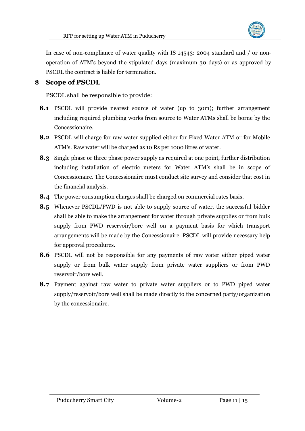

In case of non-compliance of water quality with IS 14543: 2004 standard and / or nonoperation of ATM's beyond the stipulated days (maximum 30 days) or as approved by PSCDL the contract is liable for termination.

### <span id="page-10-0"></span>**8 Scope of PSCDL**

PSCDL shall be responsible to provide:

- **8.1** PSCDL will provide nearest source of water (up to 30m); further arrangement including required plumbing works from source to Water ATMs shall be borne by the Concessionaire.
- **8.2** PSCDL will charge for raw water supplied either for Fixed Water ATM or for Mobile ATM's. Raw water will be charged as 10 Rs per 1000 litres of water.
- **8.3** Single phase or three phase power supply as required at one point, further distribution including installation of electric meters for Water ATM's shall be in scope of Concessionaire. The Concessionaire must conduct site survey and consider that cost in the financial analysis.
- **8.4** The power consumption charges shall be charged on commercial rates basis.
- **8.5** Whenever PSCDL/PWD is not able to supply source of water, the successful bidder shall be able to make the arrangement for water through private supplies or from bulk supply from PWD reservoir/bore well on a payment basis for which transport arrangements will be made by the Concessionaire. PSCDL will provide necessary help for approval procedures.
- **8.6** PSCDL will not be responsible for any payments of raw water either piped water supply or from bulk water supply from private water suppliers or from PWD reservoir/bore well.
- **8.7** Payment against raw water to private water suppliers or to PWD piped water supply/reservoir/bore well shall be made directly to the concerned party/organization by the concessionaire.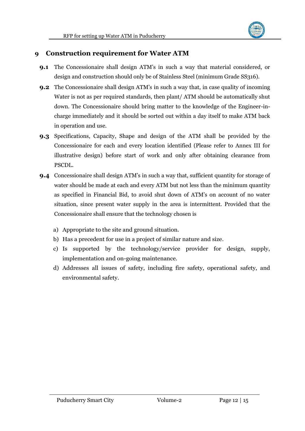

#### <span id="page-11-0"></span>**9 Construction requirement for Water ATM**

- **9.1** The Concessionaire shall design ATM's in such a way that material considered, or design and construction should only be of Stainless Steel (minimum Grade SS316).
- **9.2** The Concessionaire shall design ATM's in such a way that, in case quality of incoming Water is not as per required standards, then plant/ ATM should be automatically shut down. The Concessionaire should bring matter to the knowledge of the Engineer-incharge immediately and it should be sorted out within a day itself to make ATM back in operation and use.
- **9.3** Specifications, Capacity, Shape and design of the ATM shall be provided by the Concessionaire for each and every location identified (Please refer to Annex III for illustrative design) before start of work and only after obtaining clearance from PSCDL.
- **9.4** Concessionaire shall design ATM's in such a way that, sufficient quantity for storage of water should be made at each and every ATM but not less than the minimum quantity as specified in Financial Bid, to avoid shut down of ATM's on account of no water situation, since present water supply in the area is intermittent. Provided that the Concessionaire shall ensure that the technology chosen is
	- a) Appropriate to the site and ground situation.
	- b) Has a precedent for use in a project of similar nature and size.
	- c) Is supported by the technology/service provider for design, supply, implementation and on-going maintenance.
	- d) Addresses all issues of safety, including fire safety, operational safety, and environmental safety.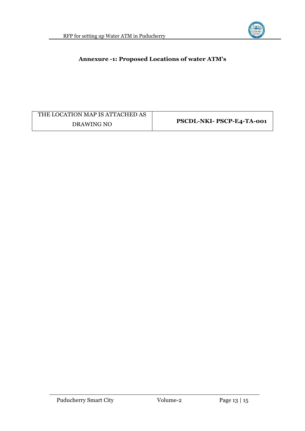

#### <span id="page-12-0"></span>**Annexure -1: Proposed Locations of water ATM's**

| THE LOCATION MAP IS ATTACHED AS |                           |  |
|---------------------------------|---------------------------|--|
| DRAWING NO                      | PSCDL-NKI- PSCP-E4-TA-001 |  |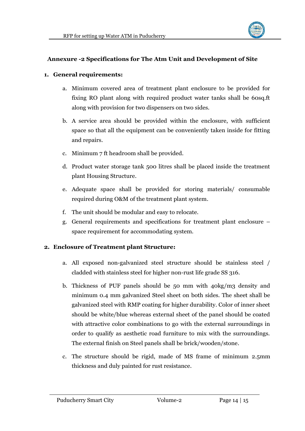

#### <span id="page-13-0"></span>**Annexure -2 Specifications for The Atm Unit and Development of Site**

#### **1. General requirements:**

- a. Minimum covered area of treatment plant enclosure to be provided for fixing RO plant along with required product water tanks shall be 60sq.ft along with provision for two dispensers on two sides.
- b. A service area should be provided within the enclosure, with sufficient space so that all the equipment can be conveniently taken inside for fitting and repairs.
- c. Minimum 7 ft headroom shall be provided.
- d. Product water storage tank 500 litres shall be placed inside the treatment plant Housing Structure.
- e. Adequate space shall be provided for storing materials/ consumable required during O&M of the treatment plant system.
- f. The unit should be modular and easy to relocate.
- g. General requirements and specifications for treatment plant enclosure space requirement for accommodating system.

#### **2. Enclosure of Treatment plant Structure:**

- a. All exposed non-galvanized steel structure should be stainless steel / cladded with stainless steel for higher non-rust life grade SS 316.
- b. Thickness of PUF panels should be 50 mm with 40kg/m3 density and minimum 0.4 mm galvanized Steel sheet on both sides. The sheet shall be galvanized steel with RMP coating for higher durability. Color of inner sheet should be white/blue whereas external sheet of the panel should be coated with attractive color combinations to go with the external surroundings in order to qualify as aesthetic road furniture to mix with the surroundings. The external finish on Steel panels shall be brick/wooden/stone.
- c. The structure should be rigid, made of MS frame of minimum 2.5mm thickness and duly painted for rust resistance.